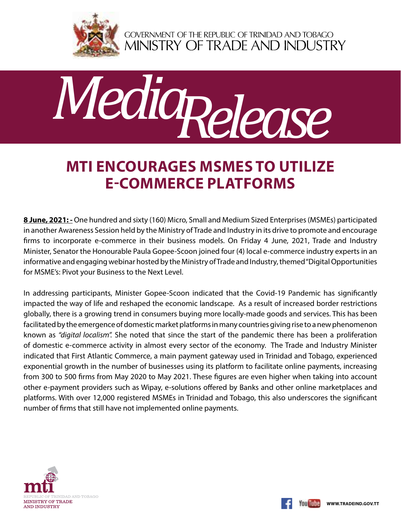

GOVERNMENT OF THE REPUBLIC OF TRINIDAD AND TOBAGO<br>MINISTRY OF TRADE AND INDUSTRY



## **MTI ENCOURAGES MSMES TO UTILIZE E-COMMERCE PLATFORMS**

**8 June, 2021: -** One hundred and sixty (160) Micro, Small and Medium Sized Enterprises (MSMEs) participated in another Awareness Session held by the Ministry of Trade and Industry in its drive to promote and encourage firms to incorporate e-commerce in their business models. On Friday 4 June, 2021, Trade and Industry Minister, Senator the Honourable Paula Gopee-Scoon joined four (4) local e-commerce industry experts in an informative and engaging webinar hosted by the Ministry of Trade and Industry, themed "Digital Opportunities for MSME's: Pivot your Business to the Next Level.

In addressing participants, Minister Gopee-Scoon indicated that the Covid-19 Pandemic has significantly impacted the way of life and reshaped the economic landscape. As a result of increased border restrictions globally, there is a growing trend in consumers buying more locally-made goods and services. This has been facilitated by the emergence of domestic market platforms in many countries giving rise to a new phenomenon known as *"digital localism".* She noted that since the start of the pandemic there has been a proliferation of domestic e-commerce activity in almost every sector of the economy. The Trade and Industry Minister indicated that First Atlantic Commerce, a main payment gateway used in Trinidad and Tobago, experienced exponential growth in the number of businesses using its platform to facilitate online payments, increasing from 300 to 500 firms from May 2020 to May 2021. These figures are even higher when taking into account other e-payment providers such as Wipay, e-solutions offered by Banks and other online marketplaces and platforms. With over 12,000 registered MSMEs in Trinidad and Tobago, this also underscores the significant number of firms that still have not implemented online payments.